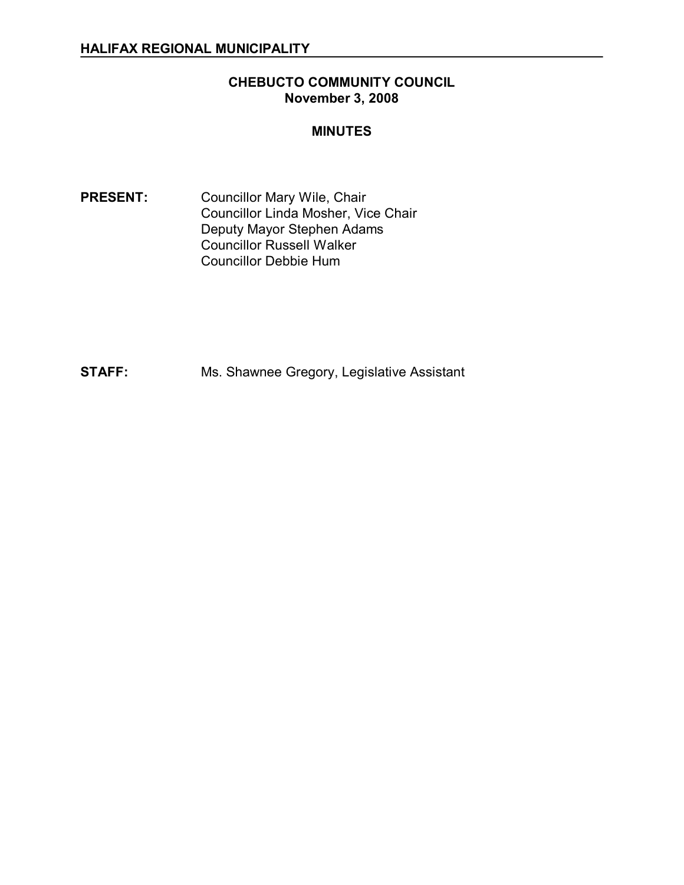#### **CHEBUCTO COMMUNITY COUNCIL November 3, 2008**

#### **MINUTES**

PRESENT: Councillor Mary Wile, Chair Councillor Linda Mosher, Vice Chair Deputy Mayor Stephen Adams Councillor Russell Walker Councillor Debbie Hum

**STAFF:** Ms. Shawnee Gregory, Legislative Assistant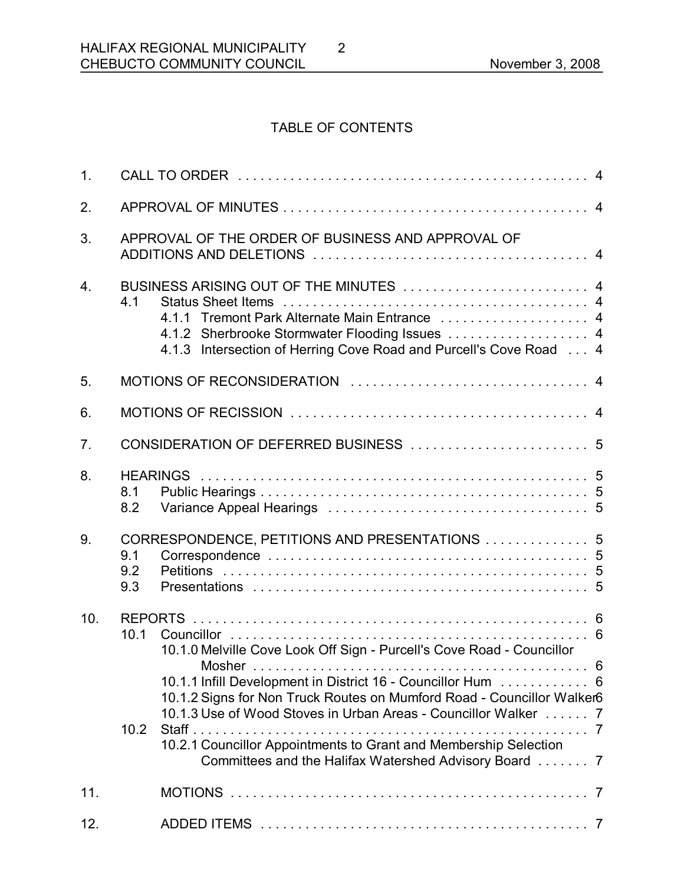# TABLE OF CONTENTS

2

| 1 <sub>1</sub>   |                   |                                                                                                                                                                                                                                                                                                                                                                                                                |  |  |
|------------------|-------------------|----------------------------------------------------------------------------------------------------------------------------------------------------------------------------------------------------------------------------------------------------------------------------------------------------------------------------------------------------------------------------------------------------------------|--|--|
| 2.               |                   |                                                                                                                                                                                                                                                                                                                                                                                                                |  |  |
| 3.               |                   | APPROVAL OF THE ORDER OF BUSINESS AND APPROVAL OF                                                                                                                                                                                                                                                                                                                                                              |  |  |
| $\overline{4}$ . | 4.1               | BUSINESS ARISING OUT OF THE MINUTES  4<br>4.1.1 Tremont Park Alternate Main Entrance  4<br>4.1.2 Sherbrooke Stormwater Flooding Issues  4<br>4.1.3 Intersection of Herring Cove Road and Purcell's Cove Road 4                                                                                                                                                                                                 |  |  |
| 5.               |                   |                                                                                                                                                                                                                                                                                                                                                                                                                |  |  |
| 6.               |                   |                                                                                                                                                                                                                                                                                                                                                                                                                |  |  |
| 7 <sub>1</sub>   |                   |                                                                                                                                                                                                                                                                                                                                                                                                                |  |  |
| 8.               | 8.1<br>8.2        |                                                                                                                                                                                                                                                                                                                                                                                                                |  |  |
| 9.               | 9.1<br>9.2<br>9.3 | CORRESPONDENCE, PETITIONS AND PRESENTATIONS  5                                                                                                                                                                                                                                                                                                                                                                 |  |  |
| 10.              | 10.1<br>10.2      | 10.1.0 Melville Cove Look Off Sign - Purcell's Cove Road - Councillor<br>10.1.1 Infill Development in District 16 - Councillor Hum 6<br>10.1.2 Signs for Non Truck Routes on Mumford Road - Councillor Walker6<br>10.1.3 Use of Wood Stoves in Urban Areas - Councillor Walker 7<br>10.2.1 Councillor Appointments to Grant and Membership Selection<br>Committees and the Halifax Watershed Advisory Board  7 |  |  |
| 11.              |                   |                                                                                                                                                                                                                                                                                                                                                                                                                |  |  |
| 12.              |                   |                                                                                                                                                                                                                                                                                                                                                                                                                |  |  |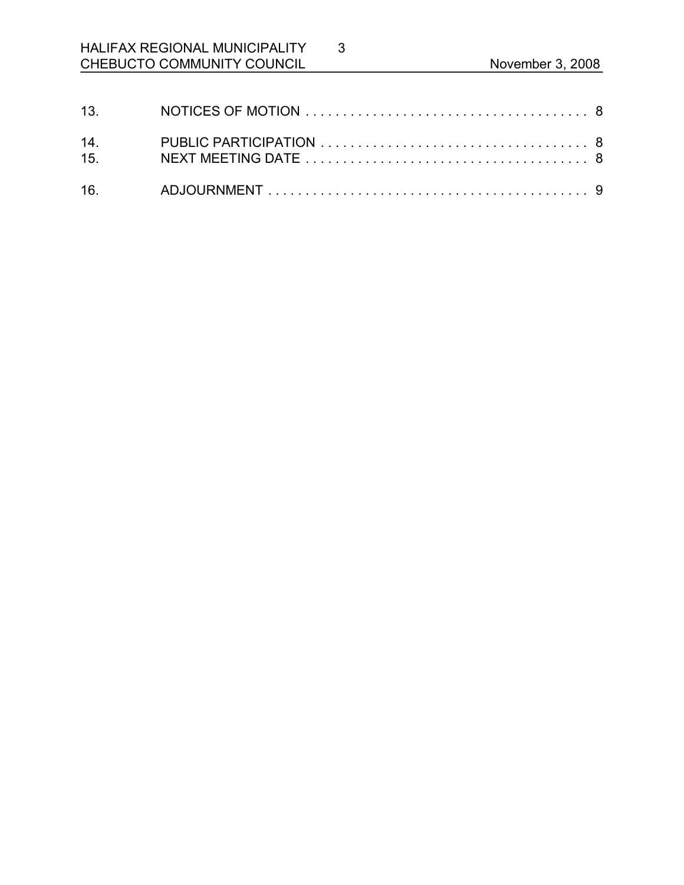# HALIFAX REGIONAL MUNICIPALITY CHEBUCTO COMMUNITY COUNCIL **November 3, 2008**

3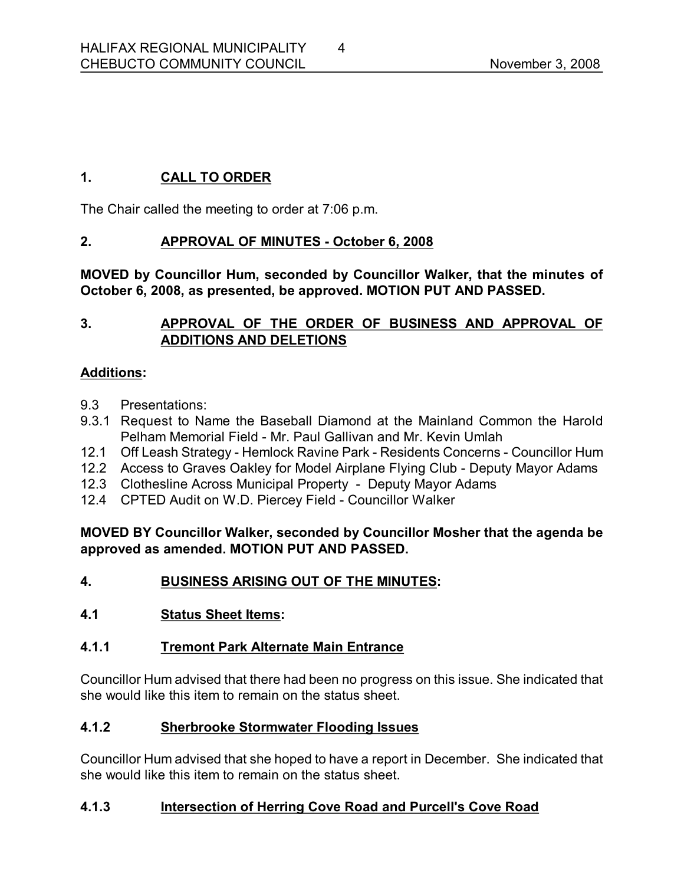# **1. CALL TO ORDER**

The Chair called the meeting to order at 7:06 p.m.

## **2. APPROVAL OF MINUTES October 6, 2008**

**MOVED by Councillor Hum, seconded by Councillor Walker, that the minutes of October 6, 2008, as presented, be approved. MOTION PUT AND PASSED.** 

# **3. APPROVAL OF THE ORDER OF BUSINESS AND APPROVAL OF ADDITIONS AND DELETIONS**

## **Additions:**

- 9.3 Presentations:
- 9.3.1 Request to Name the Baseball Diamond at the Mainland Common the Harold Pelham Memorial Field - Mr. Paul Gallivan and Mr. Kevin Umlah
- 12.1 Off Leash Strategy Hemlock Ravine Park Residents Concerns Councillor Hum
- 12.2 Access to Graves Oakley for Model Airplane Flying Club Deputy Mayor Adams
- 12.3 Clothesline Across Municipal Property Deputy Mayor Adams
- 12.4 CPTED Audit on W.D. Piercey Field Councillor Walker

#### **MOVED BY Councillor Walker, seconded by Councillor Mosher that the agenda be approved as amended. MOTION PUT AND PASSED.**

## **4. BUSINESS ARISING OUT OF THE MINUTES:**

## **4.1 Status Sheet Items:**

## **4.1.1 Tremont Park Alternate Main Entrance**

Councillor Hum advised that there had been no progress on this issue. She indicated that she would like this item to remain on the status sheet.

## **4.1.2 Sherbrooke Stormwater Flooding Issues**

Councillor Hum advised that she hoped to have a report in December. She indicated that she would like this item to remain on the status sheet.

## **4.1.3 Intersection of Herring Cove Road and Purcell's Cove Road**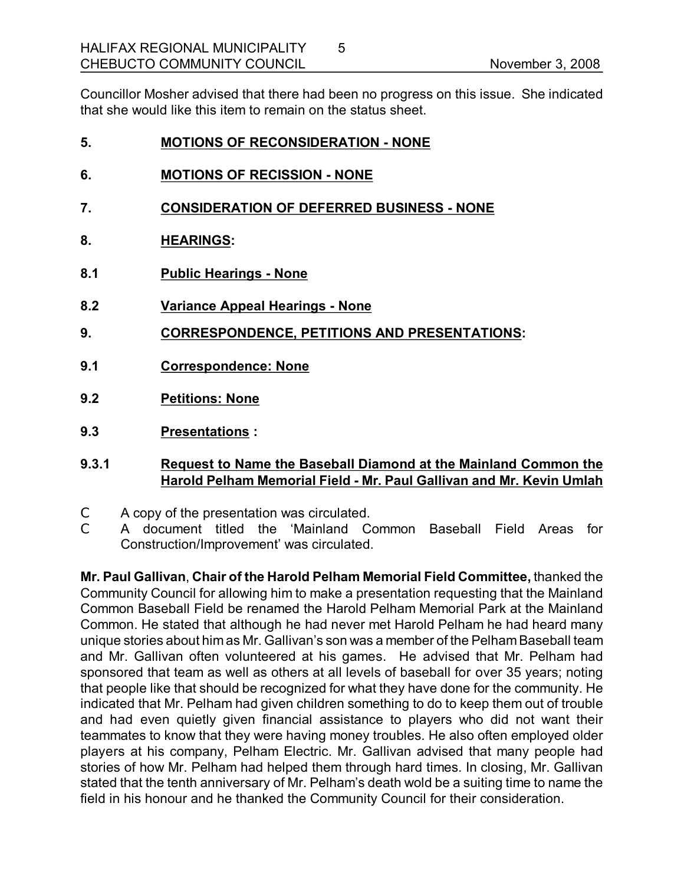Councillor Mosher advised that there had been no progress on this issue. She indicated that she would like this item to remain on the status sheet.

5

| 5. | <b>MOTIONS OF RECONSIDERATION - NONE</b> |
|----|------------------------------------------|
|    |                                          |

- **6. MOTIONS OF RECISSION NONE**
- **7. CONSIDERATION OF DEFERRED BUSINESS NONE**
- **8. HEARINGS:**
- **8.1 Public Hearings None**
- **8.2 Variance Appeal Hearings None**
- **9. CORRESPONDENCE, PETITIONS AND PRESENTATIONS:**
- **9.1 Correspondence: None**
- **9.2 Petitions: None**
- **9.3 Presentations :**

#### **9.3.1 Request to Name the Baseball Diamond at the Mainland Common the Harold Pelham Memorial Field Mr. Paul Gallivan and Mr. Kevin Umlah**

- C A copy of the presentation was circulated.
- C A document titled the 'Mainland Common Baseball Field Areas for Construction/Improvement' was circulated.

**Mr. Paul Gallivan**, **Chair of the Harold Pelham Memorial Field Committee,** thanked the Community Council for allowing him to make a presentation requesting that the Mainland Common Baseball Field be renamed the Harold Pelham Memorial Park at the Mainland Common. He stated that although he had never met Harold Pelham he had heard many unique stories about him as Mr. Gallivan's son was a member of the Pelham Baseball team and Mr. Gallivan often volunteered at his games. He advised that Mr. Pelham had sponsored that team as well as others at all levels of baseball for over 35 years; noting that people like that should be recognized for what they have done for the community. He indicated that Mr. Pelham had given children something to do to keep them out of trouble and had even quietly given financial assistance to players who did not want their teammates to know that they were having money troubles. He also often employed older players at his company, Pelham Electric. Mr. Gallivan advised that many people had stories of how Mr. Pelham had helped them through hard times. In closing, Mr. Gallivan stated that the tenth anniversary of Mr. Pelham's death wold be a suiting time to name the field in his honour and he thanked the Community Council for their consideration.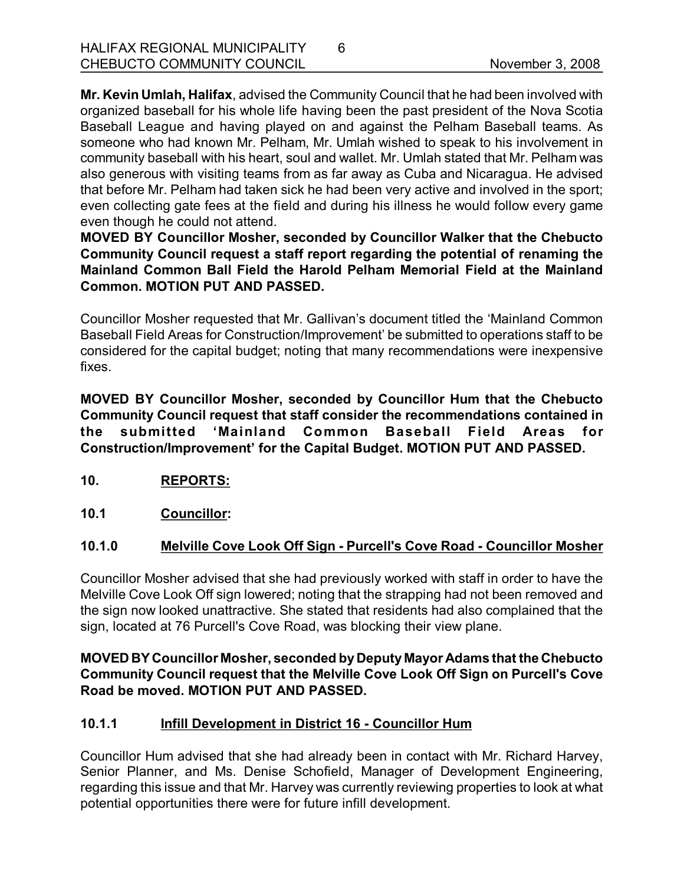**Mr. Kevin Umlah, Halifax**, advised the Community Council that he had been involved with organized baseball for his whole life having been the past president of the Nova Scotia Baseball League and having played on and against the Pelham Baseball teams. As someone who had known Mr. Pelham, Mr. Umlah wished to speak to his involvement in community baseball with his heart, soul and wallet. Mr. Umlah stated that Mr. Pelham was also generous with visiting teams from as far away as Cuba and Nicaragua. He advised that before Mr. Pelham had taken sick he had been very active and involved in the sport; even collecting gate fees at the field and during his illness he would follow every game even though he could not attend.

6

**MOVED BY Councillor Mosher, seconded by Councillor Walker that the Chebucto Community Council request a staff report regarding the potential of renaming the Mainland Common Ball Field the Harold Pelham Memorial Field at the Mainland Common. MOTION PUT AND PASSED.**

Councillor Mosher requested that Mr. Gallivan's document titled the 'Mainland Common Baseball Field Areas for Construction/Improvement' be submitted to operations staff to be considered for the capital budget; noting that many recommendations were inexpensive fixes.

**MOVED BY Councillor Mosher, seconded by Councillor Hum that the Chebucto Community Council request that staff consider the recommendations contained in the submitted 'Mainland Common Baseball Field Areas for Construction/Improvement' for the Capital Budget. MOTION PUT AND PASSED.** 

- **10. REPORTS:**
- **10.1 Councillor:**

## **10.1.0 Melville Cove Look Off Sign Purcell's Cove Road Councillor Mosher**

Councillor Mosher advised that she had previously worked with staff in order to have the Melville Cove Look Off sign lowered; noting that the strapping had not been removed and the sign now looked unattractive. She stated that residents had also complained that the sign, located at 76 Purcell's Cove Road, was blocking their view plane.

#### **MOVED BY Councillor Mosher, seconded byDeputy Mayor Adams that the Chebucto Community Council request that the Melville Cove Look Off Sign on Purcell's Cove Road be moved. MOTION PUT AND PASSED.**

## **10.1.1 Infill Development in District 16 Councillor Hum**

Councillor Hum advised that she had already been in contact with Mr. Richard Harvey, Senior Planner, and Ms. Denise Schofield, Manager of Development Engineering, regarding this issue and that Mr. Harvey was currently reviewing properties to look at what potential opportunities there were for future infill development.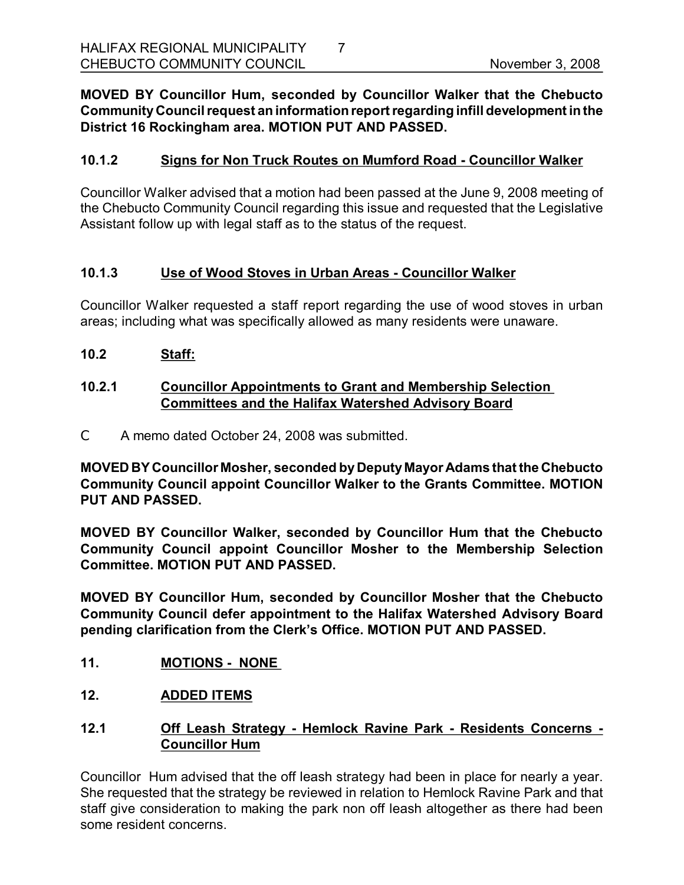### **MOVED BY Councillor Hum, seconded by Councillor Walker that the Chebucto CommunityCouncil request an informationreportregarding infill development inthe District 16 Rockingham area. MOTION PUT AND PASSED.**

## **10.1.2 Signs for Non Truck Routes on Mumford Road Councillor Walker**

Councillor Walker advised that a motion had been passed at the June 9, 2008 meeting of the Chebucto Community Council regarding this issue and requested that the Legislative Assistant follow up with legal staff as to the status of the request.

#### **10.1.3 Use of Wood Stoves in Urban Areas Councillor Walker**

Councillor Walker requested a staff report regarding the use of wood stoves in urban areas; including what was specifically allowed as many residents were unaware.

**10.2 Staff:**

#### **10.2.1 Councillor Appointments to Grant and Membership Selection Committees and the Halifax Watershed Advisory Board**

C A memo dated October 24, 2008 was submitted.

**MOVED BY Councillor Mosher, seconded byDeputy Mayor Adams that the Chebucto Community Council appoint Councillor Walker to the Grants Committee. MOTION PUT AND PASSED.** 

**MOVED BY Councillor Walker, seconded by Councillor Hum that the Chebucto Community Council appoint Councillor Mosher to the Membership Selection Committee. MOTION PUT AND PASSED.** 

**MOVED BY Councillor Hum, seconded by Councillor Mosher that the Chebucto Community Council defer appointment to the Halifax Watershed Advisory Board pending clarification from the Clerk's Office. MOTION PUT AND PASSED.** 

- **11. MOTIONS NONE**
- **12. ADDED ITEMS**
- **12.1 Off Leash Strategy Hemlock Ravine Park Residents Concerns Councillor Hum**

Councillor Hum advised that the off leash strategy had been in place for nearly a year. She requested that the strategy be reviewed in relation to Hemlock Ravine Park and that staff give consideration to making the park non off leash altogether as there had been some resident concerns.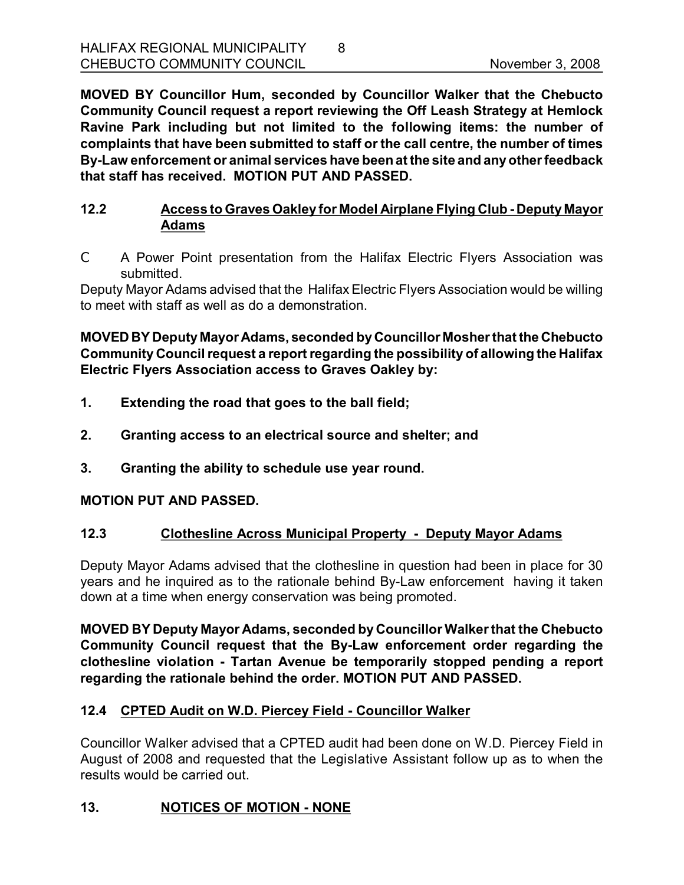**MOVED BY Councillor Hum, seconded by Councillor Walker that the Chebucto Community Council request a report reviewing the Off Leash Strategy at Hemlock Ravine Park including but not limited to the following items: the number of complaints that have been submitted to staff or the call centre, the number of times ByLaw enforcement or animal services have beenat the site and anyother feedback that staff has received. MOTION PUT AND PASSED.** 

## **12.2 Access to Graves Oakley for Model Airplane Flying Club Deputy Mayor Adams**

C A Power Point presentation from the Halifax Electric Flyers Association was submitted.

Deputy Mayor Adams advised that the HalifaxElectric Flyers Association would be willing to meet with staff as well as do a demonstration.

#### **MOVED BY Deputy Mayor Adams, seconded byCouncillor Mosher that the Chebucto Community Council request a reportregarding the possibility of allowing the Halifax Electric Flyers Association access to Graves Oakley by:**

- **1. Extending the road that goes to the ball field;**
- **2. Granting access to an electrical source and shelter; and**
- **3. Granting the ability to schedule use year round.**

## **MOTION PUT AND PASSED.**

## **12.3 Clothesline Across Municipal Property Deputy Mayor Adams**

Deputy Mayor Adams advised that the clothesline in question had been in place for 30 years and he inquired as to the rationale behind By-Law enforcement having it taken down at a time when energy conservation was being promoted.

**MOVED BY Deputy Mayor Adams, seconded by Councillor Walkerthat the Chebucto Community Council request that the ByLaw enforcement order regarding the clothesline violation Tartan Avenue be temporarily stopped pending a report regarding the rationale behind the order. MOTION PUT AND PASSED.** 

## **12.4 CPTED Audit on W.D. Piercey Field Councillor Walker**

Councillor Walker advised that a CPTED audit had been done on W.D. Piercey Field in August of 2008 and requested that the Legislative Assistant follow up as to when the results would be carried out.

## **13. NOTICES OF MOTION NONE**